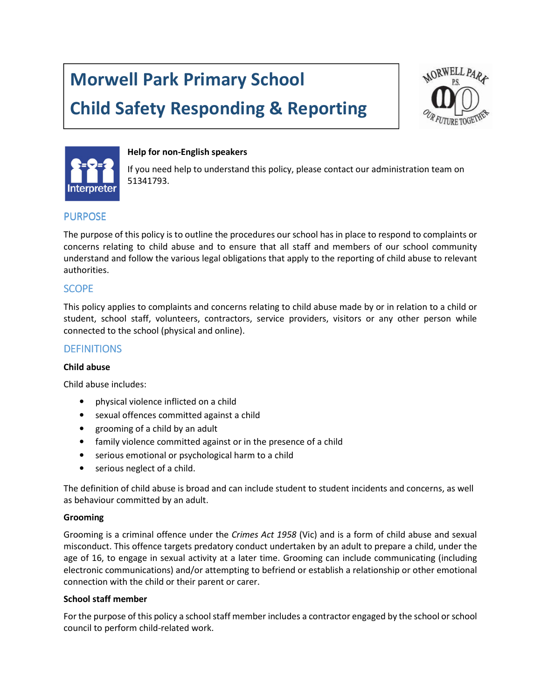# Morwell Park Primary School

# Child Safety Responding & Reporting





#### Help for non-English speakers

If you need help to understand this policy, please contact our administration team on 51341793.

## **PURPOSE**

The purpose of this policy is to outline the procedures our school has in place to respond to complaints or concerns relating to child abuse and to ensure that all staff and members of our school community understand and follow the various legal obligations that apply to the reporting of child abuse to relevant authorities.

## **SCOPE**

This policy applies to complaints and concerns relating to child abuse made by or in relation to a child or student, school staff, volunteers, contractors, service providers, visitors or any other person while connected to the school (physical and online).

## **DEFINITIONS**

#### Child abuse

Child abuse includes:

- physical violence inflicted on a child
- sexual offences committed against a child
- grooming of a child by an adult
- family violence committed against or in the presence of a child
- serious emotional or psychological harm to a child
- serious neglect of a child.

The definition of child abuse is broad and can include student to student incidents and concerns, as well as behaviour committed by an adult.

#### Grooming

Grooming is a criminal offence under the Crimes Act 1958 (Vic) and is a form of child abuse and sexual misconduct. This offence targets predatory conduct undertaken by an adult to prepare a child, under the age of 16, to engage in sexual activity at a later time. Grooming can include communicating (including electronic communications) and/or attempting to befriend or establish a relationship or other emotional connection with the child or their parent or carer.

#### School staff member

For the purpose of this policy a school staff member includes a contractor engaged by the school or school council to perform child-related work.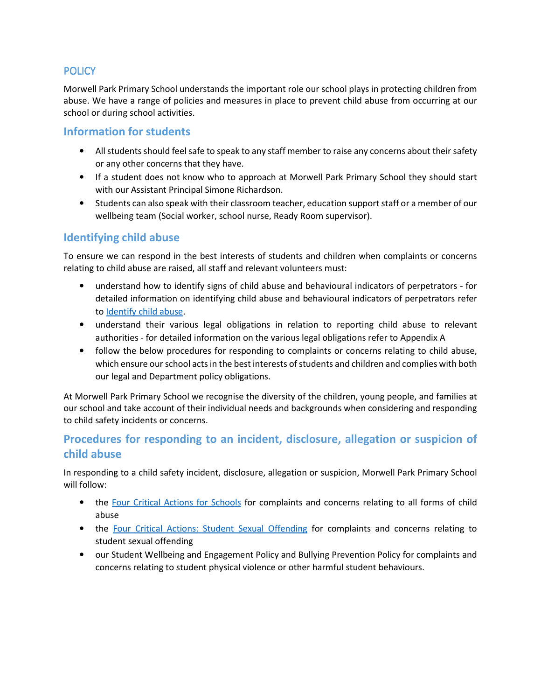## **POLICY**

Morwell Park Primary School understands the important role our school plays in protecting children from abuse. We have a range of policies and measures in place to prevent child abuse from occurring at our school or during school activities.

# Information for students

- All students should feel safe to speak to any staff member to raise any concerns about their safety or any other concerns that they have.
- If a student does not know who to approach at Morwell Park Primary School they should start with our Assistant Principal Simone Richardson.
- Students can also speak with their classroom teacher, education support staff or a member of our wellbeing team (Social worker, school nurse, Ready Room supervisor).

# Identifying child abuse

To ensure we can respond in the best interests of students and children when complaints or concerns relating to child abuse are raised, all staff and relevant volunteers must:

- understand how to identify signs of child abuse and behavioural indicators of perpetrators for detailed information on identifying child abuse and behavioural indicators of perpetrators refer to Identify child abuse.
- understand their various legal obligations in relation to reporting child abuse to relevant authorities - for detailed information on the various legal obligations refer to Appendix A
- follow the below procedures for responding to complaints or concerns relating to child abuse, which ensure our school acts in the best interests of students and children and complies with both our legal and Department policy obligations.

At Morwell Park Primary School we recognise the diversity of the children, young people, and families at our school and take account of their individual needs and backgrounds when considering and responding to child safety incidents or concerns.

# Procedures for responding to an incident, disclosure, allegation or suspicion of child abuse

In responding to a child safety incident, disclosure, allegation or suspicion, Morwell Park Primary School will follow:

- the Four Critical Actions for Schools for complaints and concerns relating to all forms of child abuse
- the Four Critical Actions: Student Sexual Offending for complaints and concerns relating to student sexual offending
- our Student Wellbeing and Engagement Policy and Bullying Prevention Policy for complaints and concerns relating to student physical violence or other harmful student behaviours.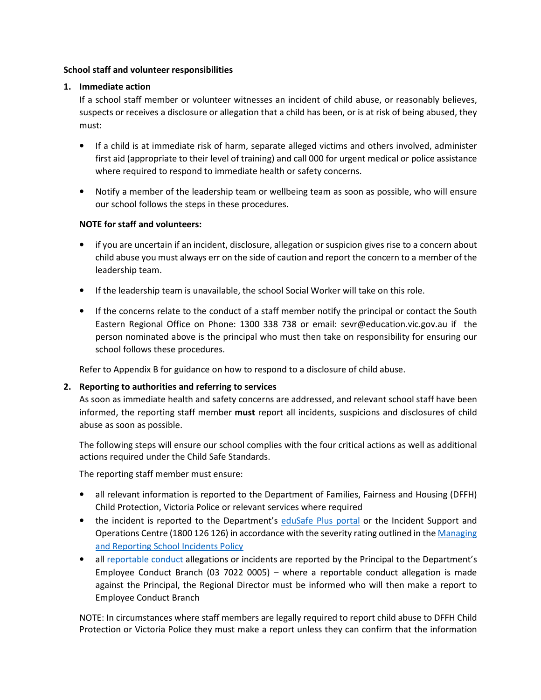#### School staff and volunteer responsibilities

## 1. Immediate action

If a school staff member or volunteer witnesses an incident of child abuse, or reasonably believes, suspects or receives a disclosure or allegation that a child has been, or is at risk of being abused, they must:

- If a child is at immediate risk of harm, separate alleged victims and others involved, administer first aid (appropriate to their level of training) and call 000 for urgent medical or police assistance where required to respond to immediate health or safety concerns.
- Notify a member of the leadership team or wellbeing team as soon as possible, who will ensure our school follows the steps in these procedures.

#### NOTE for staff and volunteers:

- if you are uncertain if an incident, disclosure, allegation or suspicion gives rise to a concern about child abuse you must always err on the side of caution and report the concern to a member of the leadership team.
- If the leadership team is unavailable, the school Social Worker will take on this role.
- If the concerns relate to the conduct of a staff member notify the principal or contact the South Eastern Regional Office on Phone: 1300 338 738 or email: sevr@education.vic.gov.au if the person nominated above is the principal who must then take on responsibility for ensuring our school follows these procedures.

Refer to Appendix B for guidance on how to respond to a disclosure of child abuse.

## 2. Reporting to authorities and referring to services

As soon as immediate health and safety concerns are addressed, and relevant school staff have been informed, the reporting staff member must report all incidents, suspicions and disclosures of child abuse as soon as possible.

The following steps will ensure our school complies with the four critical actions as well as additional actions required under the Child Safe Standards.

The reporting staff member must ensure:

- all relevant information is reported to the Department of Families, Fairness and Housing (DFFH) Child Protection, Victoria Police or relevant services where required
- the incident is reported to the Department's eduSafe Plus portal or the Incident Support and Operations Centre (1800 126 126) in accordance with the severity rating outlined in the Managing and Reporting School Incidents Policy
- all reportable conduct allegations or incidents are reported by the Principal to the Department's Employee Conduct Branch (03 7022 0005) – where a reportable conduct allegation is made against the Principal, the Regional Director must be informed who will then make a report to Employee Conduct Branch

NOTE: In circumstances where staff members are legally required to report child abuse to DFFH Child Protection or Victoria Police they must make a report unless they can confirm that the information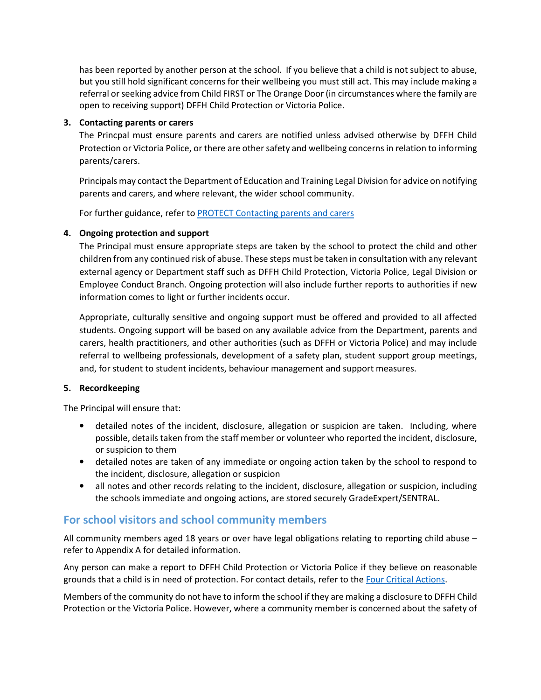has been reported by another person at the school. If you believe that a child is not subject to abuse, but you still hold significant concerns for their wellbeing you must still act. This may include making a referral or seeking advice from Child FIRST or The Orange Door (in circumstances where the family are open to receiving support) DFFH Child Protection or Victoria Police.

#### 3. Contacting parents or carers

The Princpal must ensure parents and carers are notified unless advised otherwise by DFFH Child Protection or Victoria Police, or there are other safety and wellbeing concerns in relation to informing parents/carers.

Principals may contact the Department of Education and Training Legal Division for advice on notifying parents and carers, and where relevant, the wider school community.

For further guidance, refer to **PROTECT** Contacting parents and carers

## 4. Ongoing protection and support

The Principal must ensure appropriate steps are taken by the school to protect the child and other children from any continued risk of abuse. These steps must be taken in consultation with any relevant external agency or Department staff such as DFFH Child Protection, Victoria Police, Legal Division or Employee Conduct Branch. Ongoing protection will also include further reports to authorities if new information comes to light or further incidents occur.

Appropriate, culturally sensitive and ongoing support must be offered and provided to all affected students. Ongoing support will be based on any available advice from the Department, parents and carers, health practitioners, and other authorities (such as DFFH or Victoria Police) and may include referral to wellbeing professionals, development of a safety plan, student support group meetings, and, for student to student incidents, behaviour management and support measures.

#### 5. Recordkeeping

The Principal will ensure that:

- detailed notes of the incident, disclosure, allegation or suspicion are taken. Including, where possible, details taken from the staff member or volunteer who reported the incident, disclosure, or suspicion to them
- detailed notes are taken of any immediate or ongoing action taken by the school to respond to the incident, disclosure, allegation or suspicion
- all notes and other records relating to the incident, disclosure, allegation or suspicion, including the schools immediate and ongoing actions, are stored securely GradeExpert/SENTRAL.

# For school visitors and school community members

All community members aged 18 years or over have legal obligations relating to reporting child abuse – refer to Appendix A for detailed information.

Any person can make a report to DFFH Child Protection or Victoria Police if they believe on reasonable grounds that a child is in need of protection. For contact details, refer to the Four Critical Actions.

Members of the community do not have to inform the school if they are making a disclosure to DFFH Child Protection or the Victoria Police. However, where a community member is concerned about the safety of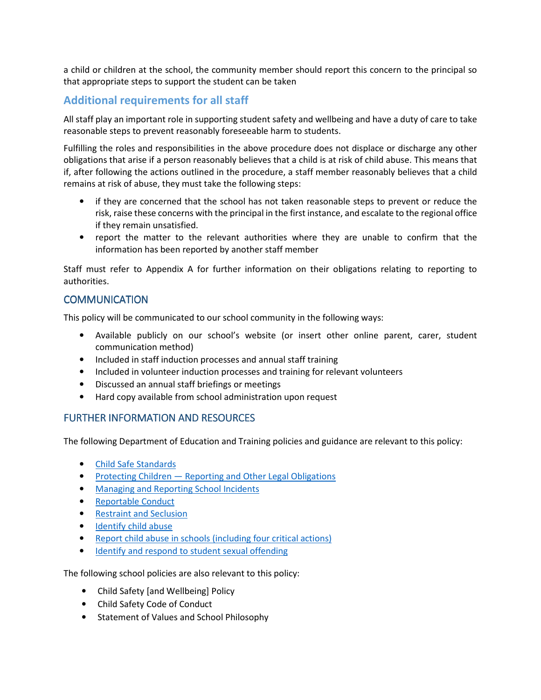a child or children at the school, the community member should report this concern to the principal so that appropriate steps to support the student can be taken

# Additional requirements for all staff

All staff play an important role in supporting student safety and wellbeing and have a duty of care to take reasonable steps to prevent reasonably foreseeable harm to students.

Fulfilling the roles and responsibilities in the above procedure does not displace or discharge any other obligations that arise if a person reasonably believes that a child is at risk of child abuse. This means that if, after following the actions outlined in the procedure, a staff member reasonably believes that a child remains at risk of abuse, they must take the following steps:

- if they are concerned that the school has not taken reasonable steps to prevent or reduce the risk, raise these concerns with the principal in the first instance, and escalate to the regional office if they remain unsatisfied.
- report the matter to the relevant authorities where they are unable to confirm that the information has been reported by another staff member

Staff must refer to Appendix A for further information on their obligations relating to reporting to authorities.

## **COMMUNICATION**

This policy will be communicated to our school community in the following ways:

- Available publicly on our school's website (or insert other online parent, carer, student communication method)
- Included in staff induction processes and annual staff training
- Included in volunteer induction processes and training for relevant volunteers
- Discussed an annual staff briefings or meetings
- Hard copy available from school administration upon request

## **FURTHER INFORMATION AND RESOURCES**

The following Department of Education and Training policies and guidance are relevant to this policy:

- Child Safe Standards
- Protecting Children Reporting and Other Legal Obligations
- Managing and Reporting School Incidents
- Reportable Conduct
- Restraint and Seclusion
- Identify child abuse
- Report child abuse in schools (including four critical actions)
- Identify and respond to student sexual offending

The following school policies are also relevant to this policy:

- Child Safety [and Wellbeing] Policy
- Child Safety Code of Conduct
- Statement of Values and School Philosophy